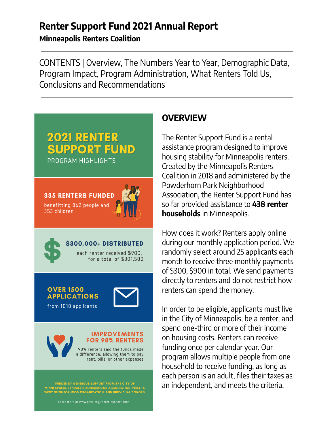# **Renter Support Fund 2021 Annual Report**

**Minneapolis Renters Coalition**

CONTENTS | Overview, The Numbers Year to Year, Demographic Data, Program Impact, Program Administration, What Renters Told Us, Conclusions and Recommendations

# **2021 RENTER SUPPORT FUND** PROGRAM HIGHLIGHTS





#### **\$300,000+ DISTRIBUTED** each renter received \$900.

for a total of \$301.500

#### **OVER 1500 APPLICATIONS**

from 1018 applicants





#### **IMPROVEMENTS FOR 98% RENTERS**

98% renters said the funds made a difference, allowing them to pay rent, bills, or other expenses

FUNDED BY GENEROUS SUPPORT FROM THE CITY OF<br>MINNEAPOLIS, LYNDALE NEIGHBORHOOD ASSOCIATION, PHILLIPS<br>VEST NEIGHBORHOOD ORGANIZATION, AND INDIVIDUAL DONORS.

## **OVERVIEW**

The Renter Support Fund is a rental assistance program designed to improve housing stability for Minneapolis renters. Created by the Minneapolis Renters Coalition in 2018 and administered by the Powderhorn Park Neighborhood Association, the Renter Support Fund has so far provided assistance to **438 renter households** in Minneapolis.

How does it work? Renters apply online during our monthly application period. We randomly select around 25 applicants each month to receive three monthly payments of \$300, \$900 in total. We send payments directly to renters and do not restrict how renters can spend the money.

In order to be eligible, applicants must live in the City of Minneapolis, be a renter, and spend one-third or more of their income on housing costs. Renters can receive funding once per calendar year. Our program allows multiple people from one household to receive funding, as long as each person is an adult, files their taxes as an independent, and meets the criteria.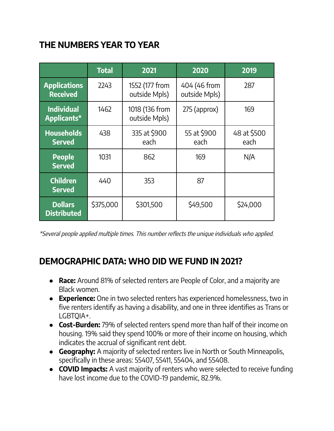# **THE NUMBERS YEAR TO YEAR**

|                                        | <b>Total</b> | 2021                            | 2020                          | 2019                |
|----------------------------------------|--------------|---------------------------------|-------------------------------|---------------------|
| <b>Applications</b><br><b>Received</b> | 2243         | 1552 (177 from<br>outside Mpls) | 404 (46 from<br>outside Mpls) | 287                 |
| <b>Individual</b><br>Applicants*       | 1462         | 1018 (136 from<br>outside Mpls) | $275$ (approx)                | 169                 |
| <b>Households</b><br><b>Served</b>     | 438          | 335 at \$900<br>each            | 55 at \$900<br>each           | 48 at \$500<br>each |
| <b>People</b><br><b>Served</b>         | 1031         | 862                             | 169                           | N/A                 |
| <b>Children</b><br><b>Served</b>       | 440          | 353                             | 87                            |                     |
| <b>Dollars</b><br><b>Distributed</b>   | \$375,000    | \$301,500                       | \$49,500                      | \$24,000            |

\*Several people applied multiple times. This number reflects the unique individuals who applied.

## **DEMOGRAPHIC DATA: WHO DID WE FUND IN 2021?**

- **Race:** Around 81% of selected renters are People of Color, and a majority are Black women.
- **Experience:** One in two selected renters has experienced homelessness, two in five renters identify as having a disability, and one in three identifies as Trans or LGBTQIA+.
- **Cost-Burden:** 79% of selected renters spend more than half of their income on housing. 19% said they spend 100% or more of their income on housing, which indicates the accrual of significant rent debt.
- **● Geography:** A majority of selected renters live in North or South Minneapolis, specifically in these areas: 55407, 55411, 55404, and 55408.
- **● COVID Impacts:** A vast majority of renters who were selected to receive funding have lost income due to the COVID-19 pandemic, 82.9%.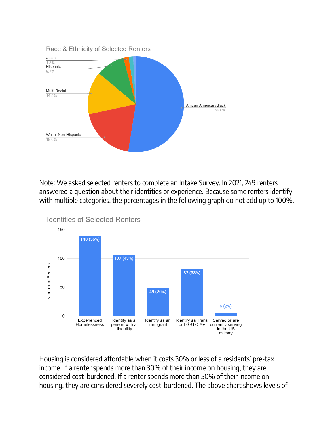

Note: We asked selected renters to complete an Intake Survey. In 2021, 249 renters answered a question about their identities or experience. Because some renters identify with multiple categories, the percentages in the following graph do not add up to 100%.



Housing is considered affordable when it costs 30% or less of a residents' pre-tax income. If a renter spends more than 30% of their income on housing, they are considered cost-burdened. If a renter spends more than 50% of their income on housing, they are considered severely cost-burdened. The above chart shows levels of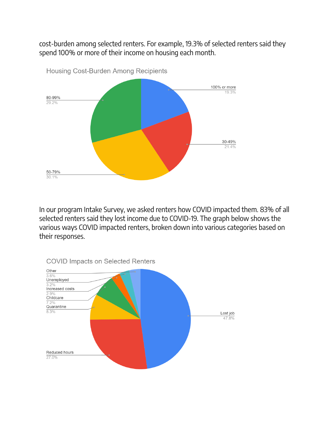cost-burden among selected renters. For example, 19.3% of selected renters said they spend 100% or more of their income on housing each month.



Housing Cost-Burden Among Recipients

In our program Intake Survey, we asked renters how COVID impacted them. 83% of all selected renters said they lost income due to COVID-19. The graph below shows the various ways COVID impacted renters, broken down into various categories based on their responses.

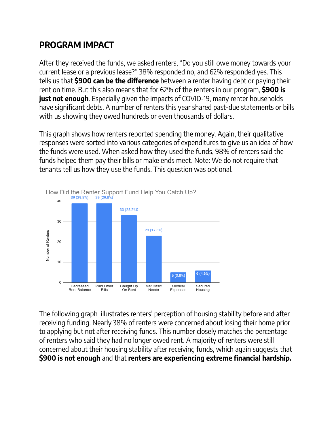# **PROGRAM IMPACT**

After they received the funds, we asked renters, "Do you still owe money towards your current lease or a previous lease?" 38% responded no, and 62% responded yes. This tells us that **\$900 can be the difference** between a renter having debt or paying their rent on time. But this also means that for 62% of the renters in our program, **\$900 is just not enough**. Especially given the impacts of COVID-19, many renter households have significant debts. A number of renters this year shared past-due statements or bills with us showing they owed hundreds or even thousands of dollars.

This graph shows how renters reported spending the money. Again, their qualitative responses were sorted into various categories of expenditures to give us an idea of how the funds were used. When asked how they used the funds, 98% of renters said the funds helped them pay their bills or make ends meet. Note: We do not require that tenants tell us how they use the funds. This question was optional.



The following graph illustrates renters' perception of housing stability before and after receiving funding. Nearly 38% of renters were concerned about losing their home prior to applying but not after receiving funds. This number closely matches the percentage of renters who said they had no longer owed rent. A majority of renters were still concerned about their housing stability after receiving funds, which again suggests that **\$900 is not enough** and that **renters are experiencing extreme financial hardship.**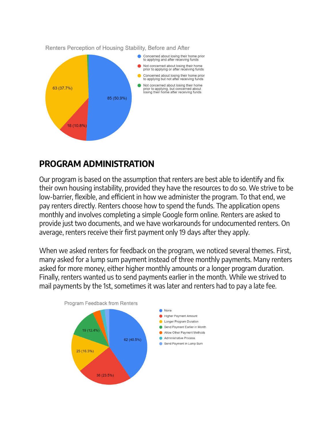

#### **PROGRAM ADMINISTRATION**

Our program is based on the assumption that renters are best able to identify and fix their own housing instability, provided they have the resources to do so. We strive to be low-barrier, flexible, and efficient in how we administer the program. To that end, we pay renters directly. Renters choose how to spend the funds. The application opens monthly and involves completing a simple Google form online. Renters are asked to provide just two documents, and we have workarounds for undocumented renters. On average, renters receive their first payment only 19 days after they apply.

When we asked renters for feedback on the program, we noticed several themes. First, many asked for a lump sum payment instead of three monthly payments. Many renters asked for more money, either higher monthly amounts or a longer program duration. Finally, renters wanted us to send payments earlier in the month. While we strived to mail payments by the 1st, sometimes it was later and renters had to pay a late fee.